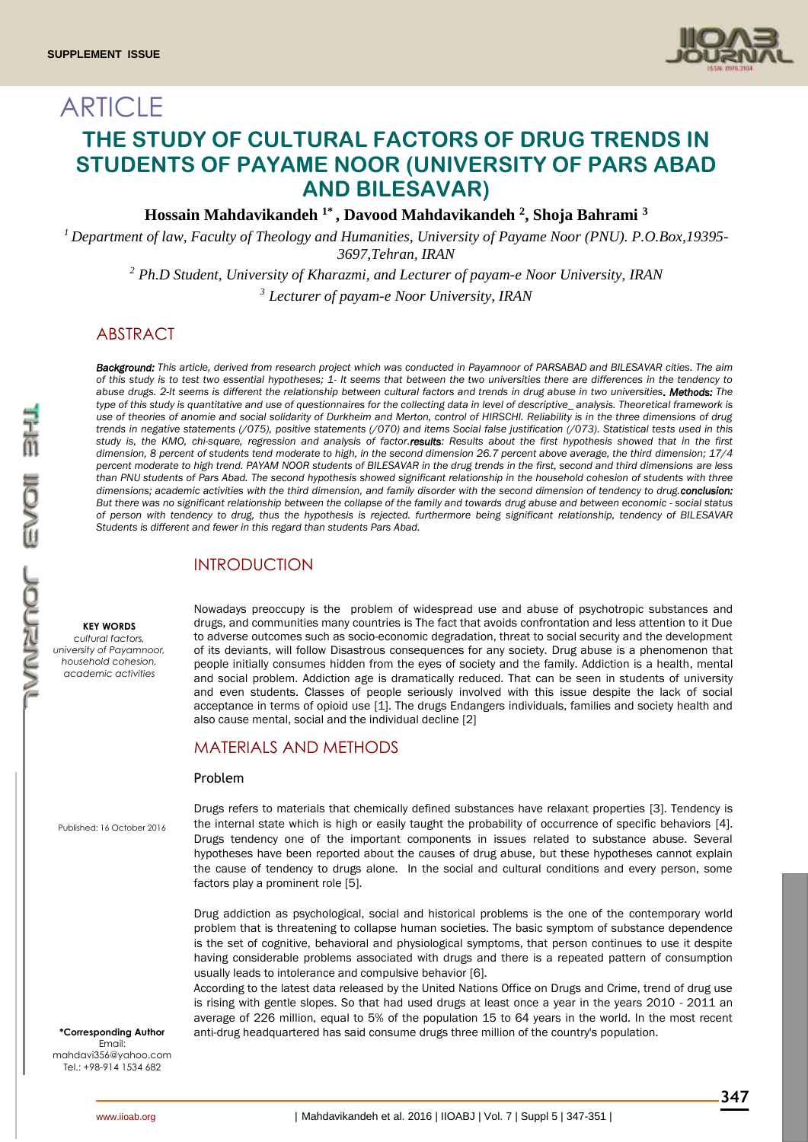

# **ARTICLE THE STUDY OF CULTURAL FACTORS OF DRUG TRENDS IN STUDENTS OF PAYAME NOOR (UNIVERSITY OF PARS ABAD AND BILESAVAR)**

**Hossain Mahdavikandeh 1\* , Davood Mahdavikandeh <sup>2</sup> , Shoja Bahrami <sup>3</sup>**

*<sup>1</sup> Department of law, Faculty of Theology and Humanities, University of Payame Noor (PNU). P.O.Box,19395- 3697,Tehran, IRAN*

*<sup>2</sup> Ph.D Student, University of Kharazmi, and Lecturer of payam-e Noor University, IRAN <sup>3</sup> Lecturer of payam-e Noor University, IRAN*

# ABSTRACT

*Background: This article, derived from research project which was conducted in Payamnoor of PARSABAD and BILESAVAR cities. The aim of this study is to test two essential hypotheses; 1- It seems that between the two universities there are differences in the tendency to abuse drugs. 2-It seems is different the relationship between cultural factors and trends in drug abuse in two universities. Methods: The type of this study is quantitative and use of questionnaires for the collecting data in level of descriptive\_ analysis. Theoretical framework is use of theories of anomie and social solidarity of Durkheim and Merton, control of HIRSCHI. Reliability is in the three dimensions of drug trends in negative statements (/075), positive statements (/070) and items Social false justification (/073). Statistical tests used in this*  study is, the KMO, chi-square, regression and analysis of factor.results: Results about the first hypothesis showed that in the first *dimension, 8 percent of students tend moderate to high, in the second dimension 26.7 percent above average, the third dimension; 17/4 percent moderate to high trend. PAYAM NOOR students of BILESAVAR in the drug trends in the first, second and third dimensions are less than PNU students of Pars Abad. The second hypothesis showed significant relationship in the household cohesion of students with three dimensions; academic activities with the third dimension, and family disorder with the second dimension of tendency to drug.conclusion: But there was no significant relationship between the collapse of the family and towards drug abuse and between economic - social status of person with tendency to drug, thus the hypothesis is rejected. furthermore being significant relationship, tendency of BILESAVAR Students is different and fewer in this regard than students Pars Abad.*

### INTRODUCTION

#### **KEY WORDS**

*cultural factors, university of Payamnoor, household cohesion, academic activities*

Nowadays preoccupy is the problem of widespread use and abuse of psychotropic substances and drugs, and communities many countries is The fact that avoids confrontation and less attention to it Due to adverse outcomes such as socio-economic degradation, threat to social security and the development of its deviants, will follow Disastrous consequences for any society. Drug abuse is a phenomenon that people initially consumes hidden from the eyes of society and the family. Addiction is a health, mental and social problem. Addiction age is dramatically reduced. That can be seen in students of university and even students. Classes of people seriously involved with this issue despite the lack of social acceptance in terms of opioid use [1]. The drugs Endangers individuals, families and society health and also cause mental, social and the individual decline [2]

### MATERIALS AND METHODS

#### Problem

Published: 16 October 2016

Drugs refers to materials that chemically defined substances have relaxant properties [3]. Tendency is the internal state which is high or easily taught the probability of occurrence of specific behaviors [4]. Drugs tendency one of the important components in issues related to substance abuse. Several hypotheses have been reported about the causes of drug abuse, but these hypotheses cannot explain the cause of tendency to drugs alone. In the social and cultural conditions and every person, some factors play a prominent role [5].

Drug addiction as psychological, social and historical problems is the one of the contemporary world problem that is threatening to collapse human societies. The basic symptom of substance dependence is the set of cognitive, behavioral and physiological symptoms, that person continues to use it despite having considerable problems associated with drugs and there is a repeated pattern of consumption usually leads to intolerance and compulsive behavior [6].

According to the latest data released by the United Nations Office on Drugs and Crime, trend of drug use is rising with gentle slopes. So that had used drugs at least once a year in the years 2010 - 2011 an average of 226 million, equal to 5% of the population 15 to 64 years in the world. In the most recent **\*Corresponding Author** anti-drug headquartered has said consume drugs three million of the country's population.

Email: mahdavi356@yahoo.com Tel:  $+98-914$  1534 682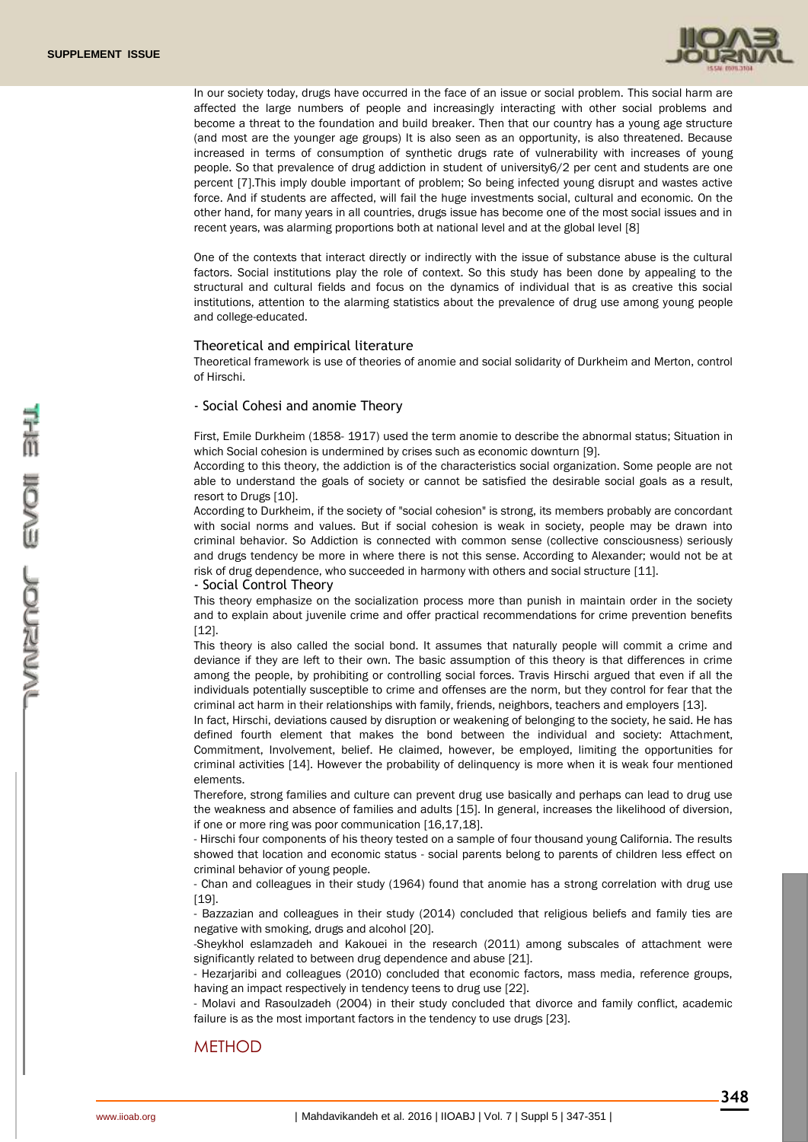

In our society today, drugs have occurred in the face of an issue or social problem. This social harm are affected the large numbers of people and increasingly interacting with other social problems and become a threat to the foundation and build breaker. Then that our country has a young age structure (and most are the younger age groups) It is also seen as an opportunity, is also threatened. Because increased in terms of consumption of synthetic drugs rate of vulnerability with increases of young people. So that prevalence of drug addiction in student of university6/2 per cent and students are one percent [7].This imply double important of problem; So being infected young disrupt and wastes active force. And if students are affected, will fail the huge investments social, cultural and economic. On the other hand, for many years in all countries, drugs issue has become one of the most social issues and in recent years, was alarming proportions both at national level and at the global level [8]

One of the contexts that interact directly or indirectly with the issue of substance abuse is the cultural factors. Social institutions play the role of context. So this study has been done by appealing to the structural and cultural fields and focus on the dynamics of individual that is as creative this social institutions, attention to the alarming statistics about the prevalence of drug use among young people and college-educated.

#### Theoretical and empirical literature

Theoretical framework is use of theories of anomie and social solidarity of Durkheim and Merton, control of Hirschi.

#### - Social Cohesi and anomie Theory

First, Emile Durkheim (1858- 1917) used the term anomie to describe the abnormal status; Situation in which Social cohesion is undermined by crises such as economic downturn [9].

According to this theory, the addiction is of the characteristics social organization. Some people are not able to understand the goals of society or cannot be satisfied the desirable social goals as a result, resort to Drugs [10].

According to Durkheim, if the society of "social cohesion" is strong, its members probably are concordant with social norms and values. But if social cohesion is weak in society, people may be drawn into criminal behavior. So Addiction is connected with common sense (collective consciousness) seriously and drugs tendency be more in where there is not this sense. According to Alexander; would not be at risk of drug dependence, who succeeded in harmony with others and social structure [11].

- Social Control Theory

This theory emphasize on the socialization process more than punish in maintain order in the society and to explain about juvenile crime and offer practical recommendations for crime prevention benefits [12].

This theory is also called the social bond. It assumes that naturally people will commit a crime and deviance if they are left to their own. The basic assumption of this theory is that differences in crime among the people, by prohibiting or controlling social forces. Travis Hirschi argued that even if all the individuals potentially susceptible to crime and offenses are the norm, but they control for fear that the criminal act harm in their relationships with family, friends, neighbors, teachers and employers [13].

In fact, Hirschi, deviations caused by disruption or weakening of belonging to the society, he said. He has defined fourth element that makes the bond between the individual and society: Attachment, Commitment, Involvement, belief. He claimed, however, be employed, limiting the opportunities for criminal activities [14]. However the probability of delinquency is more when it is weak four mentioned elements.

Therefore, strong families and culture can prevent drug use basically and perhaps can lead to drug use the weakness and absence of families and adults [15]. In general, increases the likelihood of diversion, if one or more ring was poor communication [16,17,18].

- Hirschi four components of his theory tested on a sample of four thousand young California. The results showed that location and economic status - social parents belong to parents of children less effect on criminal behavior of young people.

- Chan and colleagues in their study (1964) found that anomie has a strong correlation with drug use [19].

- Bazzazian and colleagues in their study (2014) concluded that religious beliefs and family ties are negative with smoking, drugs and alcohol [20].

-Sheykhol eslamzadeh and Kakouei in the research (2011) among subscales of attachment were significantly related to between drug dependence and abuse [21].

- Hezarjaribi and colleagues (2010) concluded that economic factors, mass media, reference groups, having an impact respectively in tendency teens to drug use [22].

- Molavi and Rasoulzadeh (2004) in their study concluded that divorce and family conflict, academic failure is as the most important factors in the tendency to use drugs [23].

### **METHOD**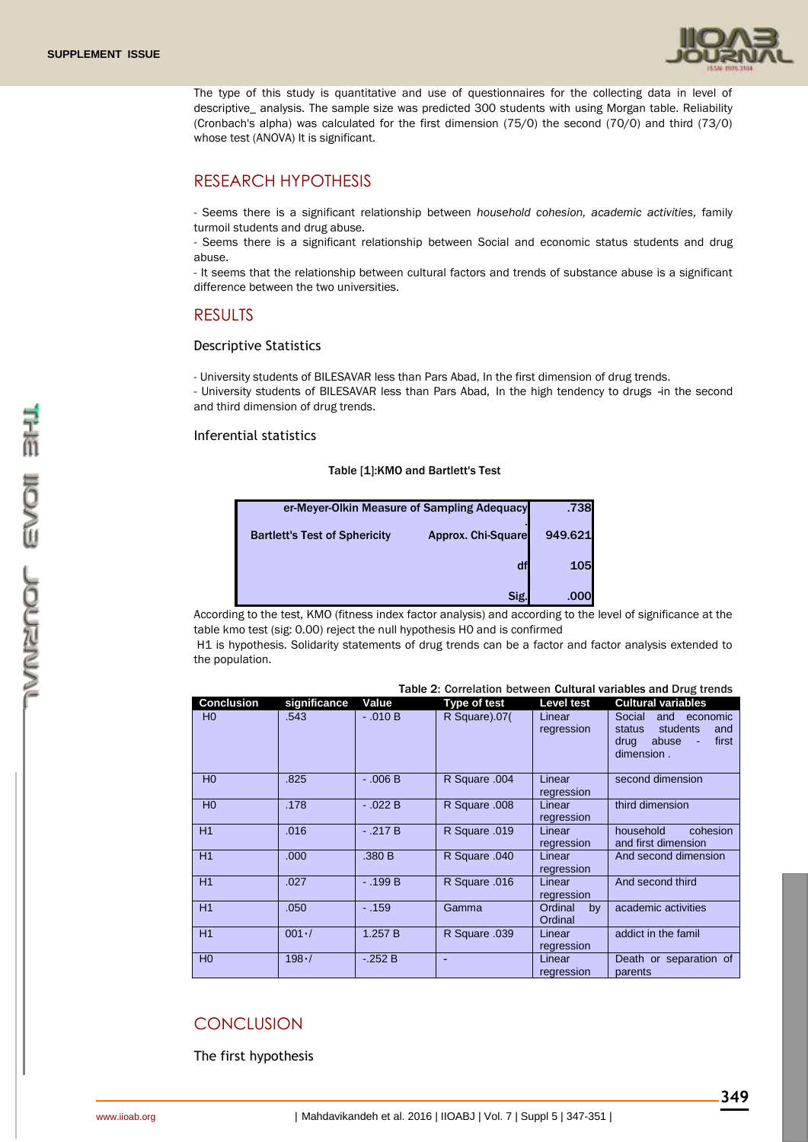

The type of this study is quantitative and use of questionnaires for the collecting data in level of descriptive\_ analysis. The sample size was predicted 300 students with using Morgan table. Reliability (Cronbach's alpha) was calculated for the first dimension (75/0) the second (70/0) and third (73/0) whose test (ANOVA) It is significant.

# RESEARCH HYPOTHESIS

- Seems there is a significant relationship between *household cohesion, academic activities,* family turmoil students and drug abuse.

- Seems there is a significant relationship between Social and economic status students and drug abuse.

- It seems that the relationship between cultural factors and trends of substance abuse is a significant difference between the two universities.

### RESULTS

#### Descriptive Statistics

- University students of BILESAVAR less than Pars Abad, In the first dimension of drug trends.

- University students of BILESAVAR less than Pars Abad, In the high tendency to drugs -in the second and third dimension of drug trends.

### Inferential statistics

#### Table [1]:KMO and Bartlett's Test

| er-Meyer-Olkin Measure of Sampling Adequacy | .738               |         |
|---------------------------------------------|--------------------|---------|
| <b>Bartlett's Test of Sphericity</b>        | Approx. Chi-Square | 949.621 |
|                                             |                    | 105     |
|                                             | Sig.               | .000    |

According to the test, KMO (fitness index factor analysis) and according to the level of significance at the table kmo test (sig: 0.00) reject the null hypothesis H0 and is confirmed

H1 is hypothesis. Solidarity statements of drug trends can be a factor and factor analysis extended to the population.

#### Table 2: Correlation between Cultural variables and Drug trends

| <b>Conclusion</b> | significance | Value      | Type of test  | Level test               | Cultural variables                                                                                               |
|-------------------|--------------|------------|---------------|--------------------------|------------------------------------------------------------------------------------------------------------------|
| H <sub>0</sub>    | .543         | $-0.010 B$ | R Square).07( | Linear<br>regression     | Social<br>and<br>economic<br>students<br>status<br>and<br>drug<br>abuse<br>first<br>$\blacksquare$<br>dimension. |
| H <sub>0</sub>    | .825         | $-0.06B$   | R Square .004 | Linear<br>regression     | second dimension                                                                                                 |
| H <sub>0</sub>    | .178         | $-0.022B$  | R Square .008 | Linear<br>regression     | third dimension                                                                                                  |
| H1                | .016         | $-.217B$   | R Square .019 | Linear<br>regression     | household<br>cohesion<br>and first dimension                                                                     |
| H1                | .000         | .380 B     | R Square .040 | Linear<br>regression     | And second dimension                                                                                             |
| H1                | .027         | $-.199B$   | R Square .016 | Linear<br>regression     | And second third                                                                                                 |
| H1                | .050         | $-.159$    | Gamma         | Ordinal<br>by<br>Ordinal | academic activities                                                                                              |
| H1                | $001 -$      | 1.257 B    | R Square .039 | Linear<br>regression     | addict in the famil                                                                                              |
| H <sub>0</sub>    | 198.7        | $-252B$    |               | Linear<br>regression     | Death or separation of<br>parents                                                                                |

# **CONCLUSION**

The first hypothesis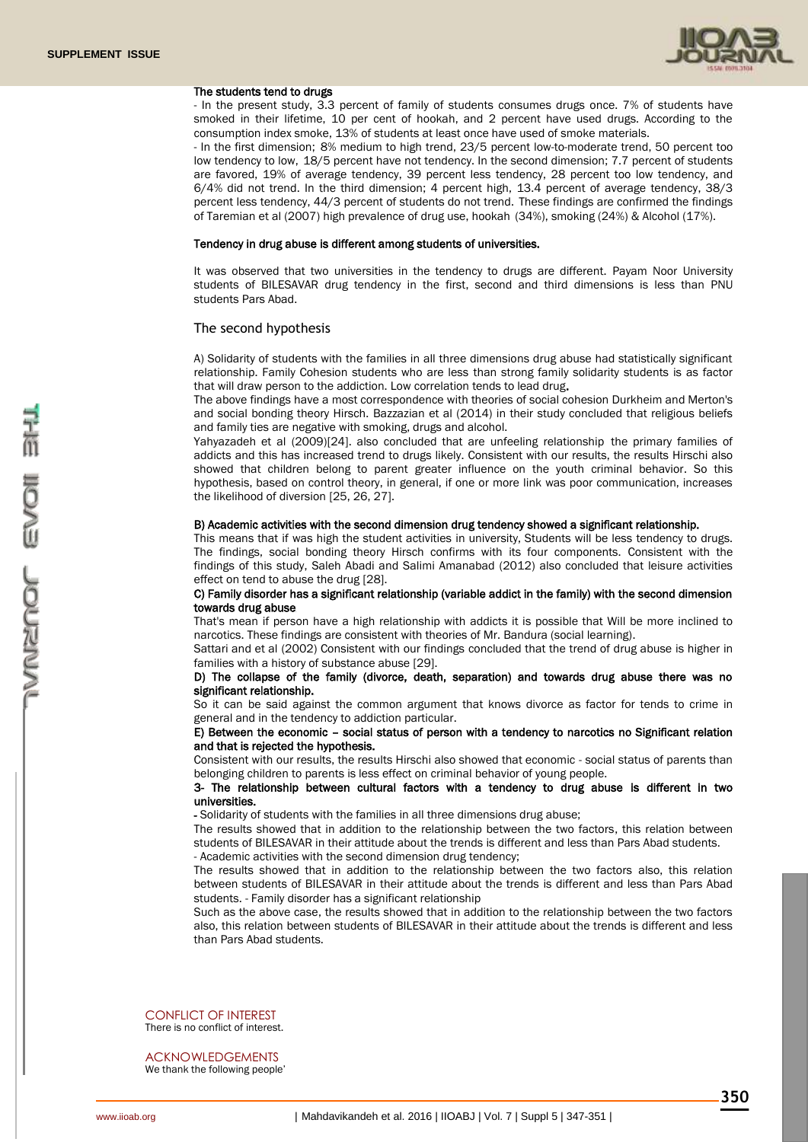

#### The students tend to drugs

- In the present study, 3.3 percent of family of students consumes drugs once. 7% of students have smoked in their lifetime, 10 per cent of hookah, and 2 percent have used drugs. According to the consumption index smoke, 13% of students at least once have used of smoke materials.

- In the first dimension; 8% medium to high trend, 23/5 percent low-to-moderate trend, 50 percent too low tendency to low, 18/5 percent have not tendency. In the second dimension; 7.7 percent of students are favored, 19% of average tendency, 39 percent less tendency, 28 percent too low tendency, and 6/4% did not trend. In the third dimension; 4 percent high, 13.4 percent of average tendency, 38/3 percent less tendency, 44/3 percent of students do not trend. These findings are confirmed the findings of Taremian et al (2007) high prevalence of drug use, hookah (34%), smoking (24%) & Alcohol (17%).

#### Tendency in drug abuse is different among students of universities.

It was observed that two universities in the tendency to drugs are different. Payam Noor University students of BILESAVAR drug tendency in the first, second and third dimensions is less than PNU students Pars Abad.

#### The second hypothesis

A) Solidarity of students with the families in all three dimensions drug abuse had statistically significant relationship. Family Cohesion students who are less than strong family solidarity students is as factor that will draw person to the addiction. Low correlation tends to lead drug.

The above findings have a most correspondence with theories of social cohesion Durkheim and Merton's and social bonding theory Hirsch. Bazzazian et al (2014) in their study concluded that religious beliefs and family ties are negative with smoking, drugs and alcohol.

Yahyazadeh et al (2009)[24]. also concluded that are unfeeling relationship the primary families of addicts and this has increased trend to drugs likely. Consistent with our results, the results Hirschi also showed that children belong to parent greater influence on the youth criminal behavior. So this hypothesis, based on control theory, in general, if one or more link was poor communication, increases the likelihood of diversion [25, 26, 27].

#### B) Academic activities with the second dimension drug tendency showed a significant relationship.

This means that if was high the student activities in university, Students will be less tendency to drugs. The findings, social bonding theory Hirsch confirms with its four components. Consistent with the findings of this study, Saleh Abadi and Salimi Amanabad (2012) also concluded that leisure activities effect on tend to abuse the drug [28].

#### C) Family disorder has a significant relationship (variable addict in the family) with the second dimension towards drug abuse

That's mean if person have a high relationship with addicts it is possible that Will be more inclined to narcotics. These findings are consistent with theories of Mr. Bandura (social learning).

Sattari and et al (2002) Consistent with our findings concluded that the trend of drug abuse is higher in families with a history of substance abuse [29].

#### D) The collapse of the family (divorce, death, separation) and towards drug abuse there was no significant relationship.

So it can be said against the common argument that knows divorce as factor for tends to crime in general and in the tendency to addiction particular.

#### E) Between the economic – social status of person with a tendency to narcotics no Significant relation and that is rejected the hypothesis.

Consistent with our results, the results Hirschi also showed that economic - social status of parents than belonging children to parents is less effect on criminal behavior of young people.

#### 3- The relationship between cultural factors with a tendency to drug abuse is different in two universities.

- Solidarity of students with the families in all three dimensions drug abuse;

The results showed that in addition to the relationship between the two factors, this relation between students of BILESAVAR in their attitude about the trends is different and less than Pars Abad students. - Academic activities with the second dimension drug tendency;

The results showed that in addition to the relationship between the two factors also, this relation between students of BILESAVAR in their attitude about the trends is different and less than Pars Abad students. - Family disorder has a significant relationship

Such as the above case, the results showed that in addition to the relationship between the two factors also, this relation between students of BILESAVAR in their attitude about the trends is different and less than Pars Abad students.

CONFLICT OF INTEREST There is no conflict of interest.

ACKNOWLEDGEMENTS We thank the following people